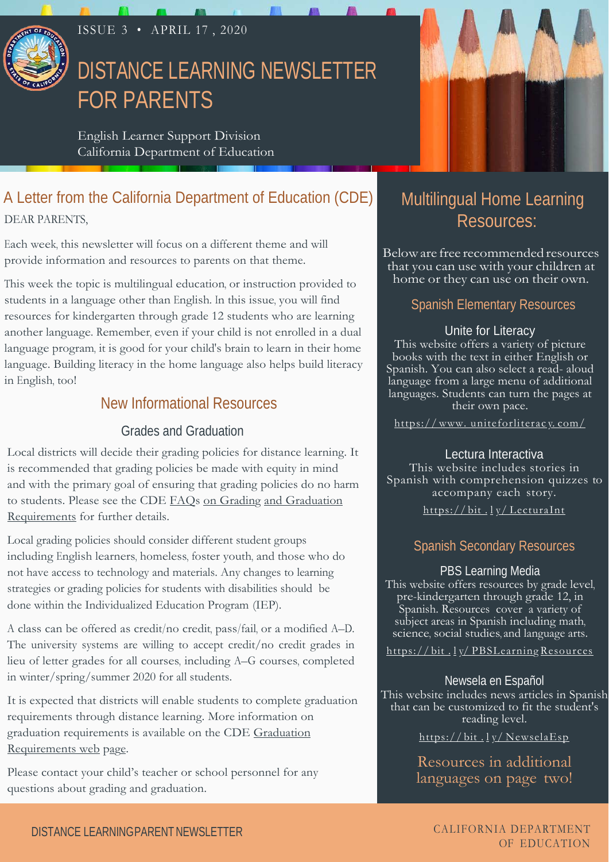

## ISSUE 3 • APRIL 17 , 2020

# DISTANCE LEARNING NEWSLETTER FOR PARENTS

English Learner Support Division California Department of Education

## A Letter from the California Department of Education (CDE) DEAR PARENTS,

Each week, this newsletter will focus on a different theme and will provide information and resources to parents on that theme.

This week the topic is multilingual education, or instruction provided to students in a language other than English. In this issue, you will find resources for kindergarten through grade 12 students who are learning another language. Remember, even if your child is not enrolled in a dual language program, it is good for your child's brain to learn in their home language. Building literacy in the home language also helps build literacy in English, too!

## New Informational Resources

#### Grades and Graduation

Local districts will decide their grading policies for distance learning. It is recommended that grading policies be made with equity in mind and with the primary goal of ensuring that grading policies do no harm [to students. Please see the CDE FAQs on Grading and Graduation](https://www.cde.ca.gov/ls/he/hn/gradegraduationfaq.asp) Requirements for further details.

Local grading policies should consider different student groups including English learners, homeless, foster youth, and those who do not have access to technology and materials. Any changes to learning strategies or grading policies for students with disabilities should be done within the Individualized Education Program (IEP).

A class can be offered as credit/no credit, pass/fail, or a modified A–D. The university systems are willing to accept credit/no credit grades in lieu of letter grades for all courses, including A–G courses, completed in winter/spring/summer 2020 for all students.

It is expected that districts will enable students to complete graduation requirements through distance learning. More information on [graduation requirements is available on the CDE Graduation](https://www.cde.ca.gov/ci/gs/hs/hsgrtable.asp)  Requirements web page.

Please contact your child's teacher or school personnel for any questions about grading and graduation.



# Multilingual Home Learning Resources:

Below are free recommended resources that you can use with your children at home or they can use on their own.

## Spanish Elementary Resources

#### Unite for Literacy

This website offers a variety of picture books with the text in either English or Spanish. You can also select a read- aloud language from a large menu of additional languages. Students can turn the pages at their own pace.

https://www.uniteforliteracy.com/

Lectura Interactiva This website includes stories in Spanish with comprehension quizzes to accompany each story. https://bit.ly/LecturaInt

### Spanish Secondary Resources

PBS Learning Media This website offers resources by grade level, pre-kindergarten through grade 12, in Spanish. Resources cover a variety of subject areas in Spanish including math, science, social studies, and language arts.

https://bit.ly/PBSLearning Resources

Newsela en Español This website includes news articles in Spanish that can be customized to fit the student's reading level.

https://bit.ly/NewselaEsp

Resources in additional languages on page two!